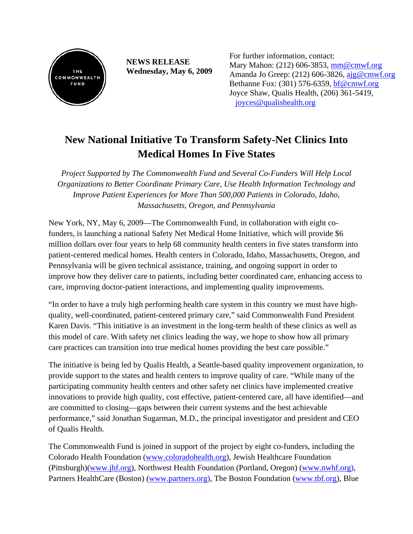

**NEWS RELEASE Wednesday, May 6, 2009**  For further information, contact: Mary Mahon: (212) 606-3853, [mm@cmwf.org](mailto:mm@cmwf.org) Amanda Jo Greep: (212) 606-3826, [ajg@cmwf.org](mailto:ajg@cmwf.org) Bethanne Fox: (301) 576-6359, [bf@cmwf.org](mailto:bf@cmwf.org) Joyce Shaw, Qualis Health, (206) 361-5419, [joyces@qualishealth.org](mailto:joyces@qualishealth.org)

## **New National Initiative To Transform Safety-Net Clinics Into Medical Homes In Five States**

*Project Supported by The Commonwealth Fund and Several Co-Funders Will Help Local Organizations to Better Coordinate Primary Care, Use Health Information Technology and Improve Patient Experiences for More Than 500,000 Patients in Colorado, Idaho, Massachusetts, Oregon, and Pennsylvania*

New York, NY, May 6, 2009—The Commonwealth Fund, in collaboration with eight cofunders, is launching a national Safety Net Medical Home Initiative, which will provide \$6 million dollars over four years to help 68 community health centers in five states transform into patient-centered medical homes. Health centers in Colorado, Idaho, Massachusetts, Oregon, and Pennsylvania will be given technical assistance, training, and ongoing support in order to improve how they deliver care to patients, including better coordinated care, enhancing access to care, improving doctor-patient interactions, and implementing quality improvements.

"In order to have a truly high performing health care system in this country we must have highquality, well-coordinated, patient-centered primary care," said Commonwealth Fund President Karen Davis. "This initiative is an investment in the long-term health of these clinics as well as this model of care. With safety net clinics leading the way, we hope to show how all primary care practices can transition into true medical homes providing the best care possible."

The initiative is being led by Qualis Health, a Seattle-based quality improvement organization, to provide support to the states and health centers to improve quality of care. "While many of the participating community health centers and other safety net clinics have implemented creative innovations to provide high quality, cost effective, patient-centered care, all have identified—and are committed to closing—gaps between their current systems and the best achievable performance," said Jonathan Sugarman, M.D., the principal investigator and president and CEO of Qualis Health.

The Commonwealth Fund is joined in support of the project by eight co-funders, including the Colorado Health Foundation [\(www.coloradohealth.org\)](http://www.coloradohealth.org/), Jewish Healthcare Foundation (Pittsburgh)(www.jhf.org), Northwest Health Foundation (Portland, Oregon) (www.nwhf.org), Partners HealthCare (Boston) [\(www.partners.org\)](http://www.partners.org/), The Boston Foundation (www.tbf.org), Blue